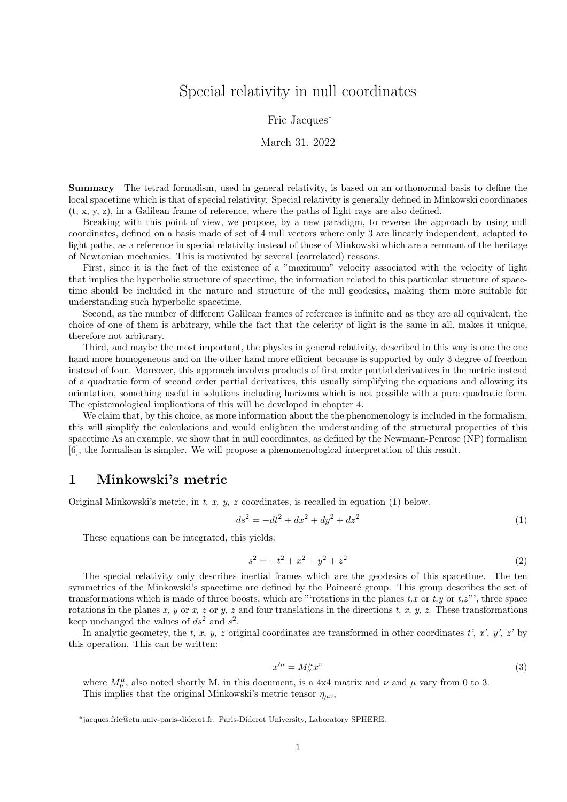# Special relativity in null coordinates

#### Fric Jacques<sup>∗</sup>

#### March 31, 2022

Summary The tetrad formalism, used in general relativity, is based on an orthonormal basis to define the local spacetime which is that of special relativity. Special relativity is generally defined in Minkowski coordinates (t, x, y, z), in a Galilean frame of reference, where the paths of light rays are also defined.

Breaking with this point of view, we propose, by a new paradigm, to reverse the approach by using null coordinates, defined on a basis made of set of 4 null vectors where only 3 are linearly independent, adapted to light paths, as a reference in special relativity instead of those of Minkowski which are a remnant of the heritage of Newtonian mechanics. This is motivated by several (correlated) reasons.

First, since it is the fact of the existence of a "maximum" velocity associated with the velocity of light that implies the hyperbolic structure of spacetime, the information related to this particular structure of spacetime should be included in the nature and structure of the null geodesics, making them more suitable for understanding such hyperbolic spacetime.

Second, as the number of different Galilean frames of reference is infinite and as they are all equivalent, the choice of one of them is arbitrary, while the fact that the celerity of light is the same in all, makes it unique, therefore not arbitrary.

Third, and maybe the most important, the physics in general relativity, described in this way is one the one hand more homogeneous and on the other hand more efficient because is supported by only 3 degree of freedom instead of four. Moreover, this approach involves products of first order partial derivatives in the metric instead of a quadratic form of second order partial derivatives, this usually simplifying the equations and allowing its orientation, something useful in solutions including horizons which is not possible with a pure quadratic form. The epistemological implications of this will be developed in chapter 4.

We claim that, by this choice, as more information about the the phenomenology is included in the formalism, this will simplify the calculations and would enlighten the understanding of the structural properties of this spacetime As an example, we show that in null coordinates, as defined by the Newmann-Penrose (NP) formalism [6], the formalism is simpler. We will propose a phenomenological interpretation of this result.

### 1 Minkowski's metric

Original Minkowski's metric, in t, x, y, z coordinates, is recalled in equation  $(1)$  below.

$$
ds^2 = -dt^2 + dx^2 + dy^2 + dz^2
$$
 (1)

These equations can be integrated, this yields:

$$
s^2 = -t^2 + x^2 + y^2 + z^2 \tag{2}
$$

The special relativity only describes inertial frames which are the geodesics of this spacetime. The ten symmetries of the Minkowski's spacetime are defined by the Poincaré group. This group describes the set of transformations which is made of three boosts, which are "'rotations in the planes  $t, x$  or  $t, y$  or  $t, z$ "', three space rotations in the planes x, y or x, z or y, z and four translations in the directions t, x, y, z. These transformations keep unchanged the values of  $ds^2$  and  $s^2$ .

In analytic geometry, the t, x, y, z original coordinates are transformed in other coordinates t', x', y', z' by this operation. This can be written:

$$
x^{\prime \mu} = M^{\mu}_{\nu} x^{\nu} \tag{3}
$$

where  $M^{\mu}_{\nu}$ , also noted shortly M, in this document, is a 4x4 matrix and  $\nu$  and  $\mu$  vary from 0 to 3. This implies that the original Minkowski's metric tensor  $\eta_{\mu\nu}$ ,

<sup>∗</sup>jacques.fric@etu.univ-paris-diderot.fr. Paris-Diderot University, Laboratory SPHERE.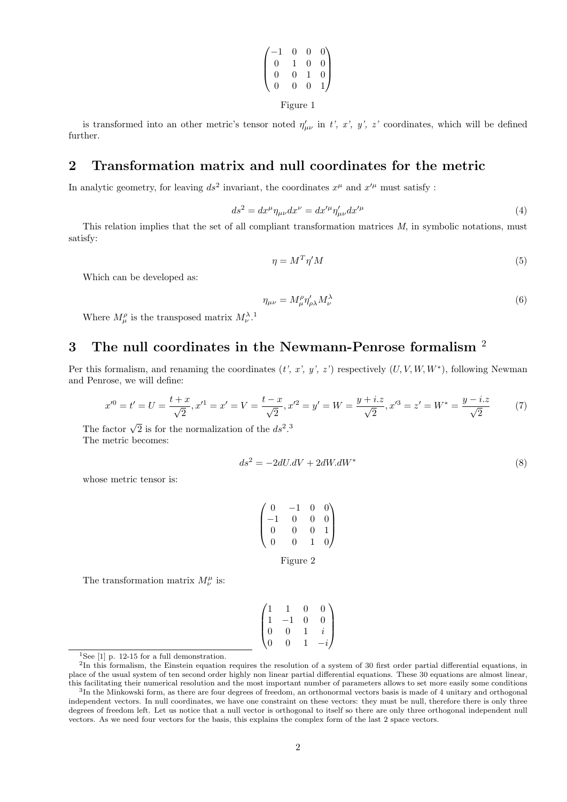$$
\begin{pmatrix}\n-1 & 0 & 0 & 0 \\
0 & 1 & 0 & 0 \\
0 & 0 & 1 & 0 \\
0 & 0 & 0 & 1\n\end{pmatrix}
$$
\nFigure 1

is transformed into an other metric's tensor noted  $\eta'_{\mu\nu}$  in t', x', y', z' coordinates, which will be defined further.

## 2 Transformation matrix and null coordinates for the metric

In analytic geometry, for leaving  $ds^2$  invariant, the coordinates  $x^{\mu}$  and  $x'^{\mu}$  must satisfy :

$$
ds^2 = dx^{\mu} \eta_{\mu\nu} dx^{\nu} = dx^{\prime \mu} \eta^{\prime}_{\mu\nu} dx^{\prime \mu}
$$
\n<sup>(4)</sup>

This relation implies that the set of all compliant transformation matrices M, in symbolic notations, must satisfy:

$$
\eta = M^T \eta' M \tag{5}
$$

Which can be developed as:

$$
\eta_{\mu\nu} = M^{\rho}_{\mu} \eta^{\prime}_{\rho\lambda} M^{\lambda}_{\nu} \tag{6}
$$

Where  $M^{\rho}_{\mu}$  is the transposed matrix  $M^{\lambda}_{\nu}$ <sup>1</sup>.

## 3 The null coordinates in the Newmann-Penrose formalism <sup>2</sup>

Per this formalism, and renaming the coordinates  $(t, x, y, z')$  respectively  $(U, V, W, W^*)$ , following Newman and Penrose, we will define:

$$
x'^0 = t' = U = \frac{t+x}{\sqrt{2}}, x'^1 = x' = V = \frac{t-x}{\sqrt{2}}, x'^2 = y' = W = \frac{y+i.z}{\sqrt{2}}, x'^3 = z' = W^* = \frac{y-i.z}{\sqrt{2}}\tag{7}
$$

The factor  $\sqrt{2}$  is for the normalization of the  $ds^2$ .<sup>3</sup> The metric becomes:

$$
ds^2 = -2dU \cdot dV + 2dW \cdot dW^* \tag{8}
$$

whose metric tensor is:

| $\overline{0}$           |          | $\overline{0}$ | $\begin{pmatrix} 0 \\ 0 \end{pmatrix}$ |
|--------------------------|----------|----------------|----------------------------------------|
| $\overline{\phantom{0}}$ | 0        | $\overline{0}$ |                                        |
| 0                        | $\Omega$ | $\overline{0}$ | $\overline{1}$                         |
| $\overline{0}$           | 0        | 1              | $\frac{1}{2}$                          |
|                          |          |                |                                        |

Figure 2

The transformation matrix  $M^{\mu}_{\nu}$  is:

$$
\begin{pmatrix}\n1 & 1 & 0 & 0 \\
1 & -1 & 0 & 0 \\
0 & 0 & 1 & i \\
0 & 0 & 1 & -i\n\end{pmatrix}
$$

 $^{1}\mathrm{See}$  [1] p. 12-15 for a full demonstration.

 ${}^{2}$ In this formalism, the Einstein equation requires the resolution of a system of 30 first order partial differential equations, in place of the usual system of ten second order highly non linear partial differential equations. These 30 equations are almost linear, this facilitating their numerical resolution and the most important number of parameters allows to set more easily some conditions

<sup>3</sup> In the Minkowski form, as there are four degrees of freedom, an orthonormal vectors basis is made of 4 unitary and orthogonal independent vectors. In null coordinates, we have one constraint on these vectors: they must be null, therefore there is only three degrees of freedom left. Let us notice that a null vector is orthogonal to itself so there are only three orthogonal independent null vectors. As we need four vectors for the basis, this explains the complex form of the last 2 space vectors.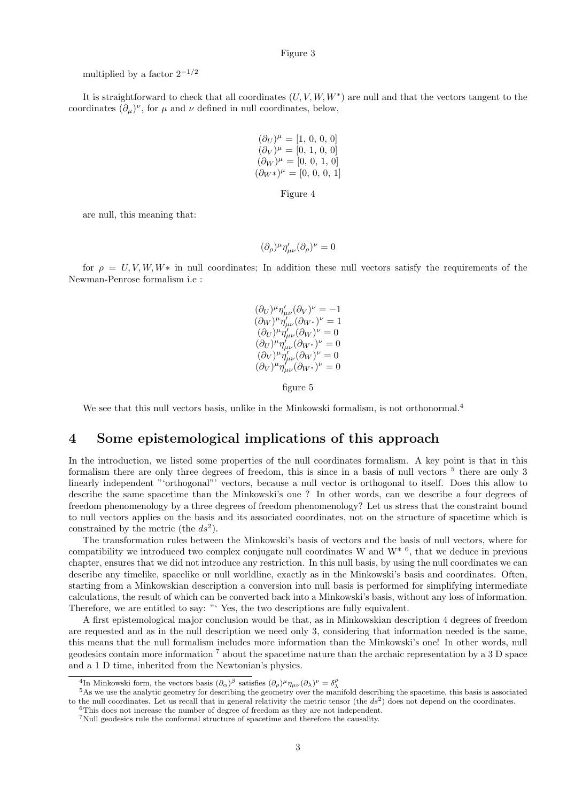#### Figure 3

multiplied by a factor  $2^{-1/2}$ 

It is straightforward to check that all coordinates  $(U, V, W, W^*)$  are null and that the vectors tangent to the coordinates  $(\partial_{\mu})^{\nu}$ , for  $\mu$  and  $\nu$  defined in null coordinates, below,

$$
(\partial_U)^{\mu} = [1, 0, 0, 0]
$$
  
\n
$$
(\partial_V)^{\mu} = [0, 1, 0, 0]
$$
  
\n
$$
(\partial_W)^{\mu} = [0, 0, 1, 0]
$$
  
\n
$$
(\partial_W^*)^{\mu} = [0, 0, 0, 1]
$$

Figure 4

are null, this meaning that:

$$
(\partial_{\rho})^{\mu}\eta'_{\mu\nu}(\partial_{\rho})^{\nu}=0
$$

for  $\rho = U, V, W, W^*$  in null coordinates; In addition these null vectors satisfy the requirements of the Newman-Penrose formalism i.e :

$$
\begin{array}{l}(\partial_U)^{\mu}\eta'_{\mu\nu}(\partial_V)^{\nu}=-1\\ (\partial_W)^{\mu}\eta'_{\mu\nu}(\partial_W^{\phantom{\mu}})^{\nu}=1\\ (\partial_U)^{\mu}\eta'_{\mu\nu}(\partial_W)^{\nu}=0\\ (\partial_U)^{\mu}\eta'_{\mu\nu}(\partial_W^{\phantom{\mu}})^{\nu}=0\\ (\partial_V)^{\mu}\eta'_{\mu\nu}(\partial_W)^{\nu}=0\\ (\partial_V)^{\mu}\eta'_{\mu\nu}(\partial_W^{\phantom{\mu}})^{\nu}=0 \end{array}
$$

figure 5

We see that this null vectors basis, unlike in the Minkowski formalism, is not orthonormal.<sup>4</sup>

## 4 Some epistemological implications of this approach

In the introduction, we listed some properties of the null coordinates formalism. A key point is that in this formalism there are only three degrees of freedom, this is since in a basis of null vectors  $5$  there are only 3 linearly independent "'orthogonal"' vectors, because a null vector is orthogonal to itself. Does this allow to describe the same spacetime than the Minkowski's one ? In other words, can we describe a four degrees of freedom phenomenology by a three degrees of freedom phenomenology? Let us stress that the constraint bound to null vectors applies on the basis and its associated coordinates, not on the structure of spacetime which is constrained by the metric (the  $ds^2$ ).

The transformation rules between the Minkowski's basis of vectors and the basis of null vectors, where for compatibility we introduced two complex conjugate null coordinates W and  $W^*$ <sup>6</sup>, that we deduce in previous chapter, ensures that we did not introduce any restriction. In this null basis, by using the null coordinates we can describe any timelike, spacelike or null worldline, exactly as in the Minkowski's basis and coordinates. Often, starting from a Minkowskian description a conversion into null basis is performed for simplifying intermediate calculations, the result of which can be converted back into a Minkowski's basis, without any loss of information. Therefore, we are entitled to say: "' Yes, the two descriptions are fully equivalent.

A first epistemological major conclusion would be that, as in Minkowskian description 4 degrees of freedom are requested and as in the null description we need only 3, considering that information needed is the same, this means that the null formalism includes more information than the Minkowski's one! In other words, null geodesics contain more information <sup>7</sup> about the spacetime nature than the archaic representation by a 3 D space and a 1 D time, inherited from the Newtonian's physics.

<sup>&</sup>lt;sup>4</sup>In Minkowski form, the vectors basis  $(\partial_{\alpha})^{\beta}$  satisfies  $(\partial_{\rho})^{\mu} \eta_{\mu\nu} (\partial_{\lambda})^{\nu} = \delta^{\rho}_{\lambda}$ 

<sup>&</sup>lt;sup>5</sup>As we use the analytic geometry for describing the geometry over the manifold describing the spacetime, this basis is associated to the null coordinates. Let us recall that in general relativity the metric tensor (the  $ds<sup>2</sup>$ ) does not depend on the coordinates. <sup>6</sup>This does not increase the number of degree of freedom as they are not independent.

<sup>7</sup>Null geodesics rule the conformal structure of spacetime and therefore the causality.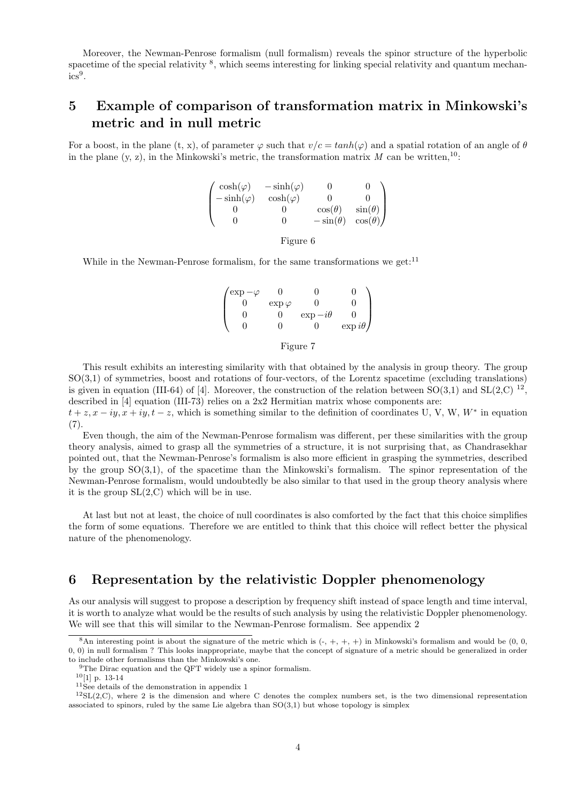Moreover, the Newman-Penrose formalism (null formalism) reveals the spinor structure of the hyperbolic spacetime of the special relativity <sup>8</sup>, which seems interesting for linking special relativity and quantum mechan- $\mathrm{ics}^{9}$ .

# 5 Example of comparison of transformation matrix in Minkowski's metric and in null metric

For a boost, in the plane (t, x), of parameter  $\varphi$  such that  $v/c = tanh(\varphi)$  and a spatial rotation of an angle of  $\theta$ in the plane  $(y, z)$ , in the Minkowski's metric, the transformation matrix M can be written,<sup>10</sup>:

|                                        | $-\sinh(\varphi)$ |                 |                |
|----------------------------------------|-------------------|-----------------|----------------|
| $\cosh(\varphi)$<br>- $\sinh(\varphi)$ | $\cosh(\varphi)$  |                 |                |
|                                        |                   | $\cos(\theta)$  | $\sin(\theta)$ |
|                                        |                   | $-\sin(\theta)$ | $\cos(\theta)$ |
|                                        | Figure 6          |                 |                |

While in the Newman-Penrose formalism, for the same transformations we get:  $11$ 

 $\sqrt{ }$  $\vert$  $\exp -\varphi$  0 0 0 0  $\exp \varphi$  0 0 0  $0 \exp{-i\theta}$  0 0 0  $\exp i\theta$  $\setminus$  $\int$ 

#### Figure 7

This result exhibits an interesting similarity with that obtained by the analysis in group theory. The group SO(3,1) of symmetries, boost and rotations of four-vectors, of the Lorentz spacetime (excluding translations) is given in equation (III-64) of [4]. Moreover, the construction of the relation between  $SO(3,1)$  and  $SL(2,\mathbb{C})$   $^{12}$ , described in [4] equation (III-73) relies on a 2x2 Hermitian matrix whose components are:

 $t + z$ ,  $x - iy$ ,  $x + iy$ ,  $t - z$ , which is something similar to the definition of coordinates U, V, W, W<sup>\*</sup> in equation  $(7).$ 

Even though, the aim of the Newman-Penrose formalism was different, per these similarities with the group theory analysis, aimed to grasp all the symmetries of a structure, it is not surprising that, as Chandrasekhar pointed out, that the Newman-Penrose's formalism is also more efficient in grasping the symmetries, described by the group SO(3,1), of the spacetime than the Minkowski's formalism. The spinor representation of the Newman-Penrose formalism, would undoubtedly be also similar to that used in the group theory analysis where it is the group  $SL(2, C)$  which will be in use.

At last but not at least, the choice of null coordinates is also comforted by the fact that this choice simplifies the form of some equations. Therefore we are entitled to think that this choice will reflect better the physical nature of the phenomenology.

## 6 Representation by the relativistic Doppler phenomenology

As our analysis will suggest to propose a description by frequency shift instead of space length and time interval, it is worth to analyze what would be the results of such analysis by using the relativistic Doppler phenomenology. We will see that this will similar to the Newman-Penrose formalism. See appendix 2

 $^{10}[1]$ p. 13-14

<sup>&</sup>lt;sup>8</sup>An interesting point is about the signature of the metric which is  $(-, +, +, +)$  in Minkowski's formalism and would be  $(0, 0, 0, +)$ 0, 0) in null formalism ? This looks inappropriate, maybe that the concept of signature of a metric should be generalized in order to include other formalisms than the Minkowski's one.

<sup>&</sup>lt;sup>9</sup>The Dirac equation and the QFT widely use a spinor formalism.

<sup>11</sup>See details of the demonstration in appendix 1

 $12\text{SL}(2,\text{C})$ , where 2 is the dimension and where C denotes the complex numbers set, is the two dimensional representation associated to spinors, ruled by the same Lie algebra than  $SO(3,1)$  but whose topology is simplex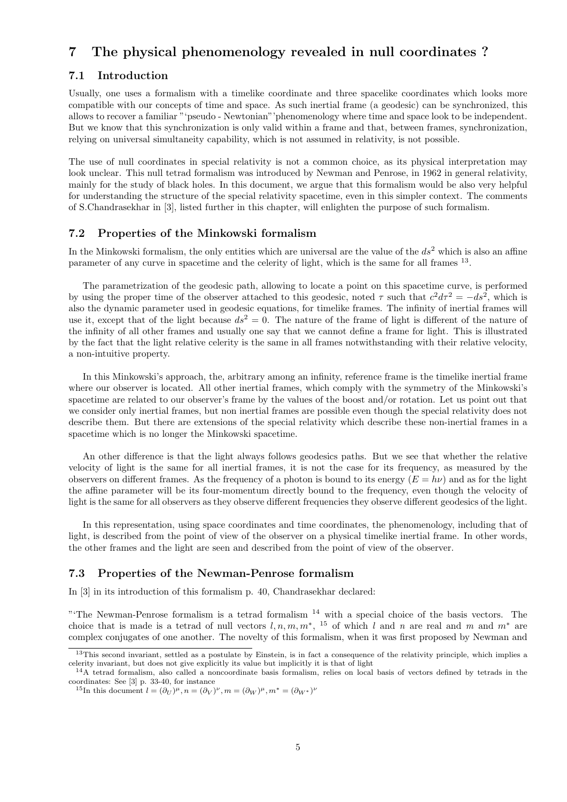## 7 The physical phenomenology revealed in null coordinates ?

### 7.1 Introduction

Usually, one uses a formalism with a timelike coordinate and three spacelike coordinates which looks more compatible with our concepts of time and space. As such inertial frame (a geodesic) can be synchronized, this allows to recover a familiar "'pseudo - Newtonian"'phenomenology where time and space look to be independent. But we know that this synchronization is only valid within a frame and that, between frames, synchronization, relying on universal simultaneity capability, which is not assumed in relativity, is not possible.

The use of null coordinates in special relativity is not a common choice, as its physical interpretation may look unclear. This null tetrad formalism was introduced by Newman and Penrose, in 1962 in general relativity, mainly for the study of black holes. In this document, we argue that this formalism would be also very helpful for understanding the structure of the special relativity spacetime, even in this simpler context. The comments of S.Chandrasekhar in [3], listed further in this chapter, will enlighten the purpose of such formalism.

### 7.2 Properties of the Minkowski formalism

In the Minkowski formalism, the only entities which are universal are the value of the  $ds<sup>2</sup>$  which is also an affine parameter of any curve in spacetime and the celerity of light, which is the same for all frames <sup>13</sup>.

The parametrization of the geodesic path, allowing to locate a point on this spacetime curve, is performed by using the proper time of the observer attached to this geodesic, noted  $\tau$  such that  $c^2 d\tau^2 = -ds^2$ , which is also the dynamic parameter used in geodesic equations, for timelike frames. The infinity of inertial frames will use it, except that of the light because  $ds^2 = 0$ . The nature of the frame of light is different of the nature of the infinity of all other frames and usually one say that we cannot define a frame for light. This is illustrated by the fact that the light relative celerity is the same in all frames notwithstanding with their relative velocity, a non-intuitive property.

In this Minkowski's approach, the, arbitrary among an infinity, reference frame is the timelike inertial frame where our observer is located. All other inertial frames, which comply with the symmetry of the Minkowski's spacetime are related to our observer's frame by the values of the boost and/or rotation. Let us point out that we consider only inertial frames, but non inertial frames are possible even though the special relativity does not describe them. But there are extensions of the special relativity which describe these non-inertial frames in a spacetime which is no longer the Minkowski spacetime.

An other difference is that the light always follows geodesics paths. But we see that whether the relative velocity of light is the same for all inertial frames, it is not the case for its frequency, as measured by the observers on different frames. As the frequency of a photon is bound to its energy  $(E = h\nu)$  and as for the light the affine parameter will be its four-momentum directly bound to the frequency, even though the velocity of light is the same for all observers as they observe different frequencies they observe different geodesics of the light.

In this representation, using space coordinates and time coordinates, the phenomenology, including that of light, is described from the point of view of the observer on a physical timelike inertial frame. In other words, the other frames and the light are seen and described from the point of view of the observer.

### 7.3 Properties of the Newman-Penrose formalism

In [3] in its introduction of this formalism p. 40, Chandrasekhar declared:

"The Newman-Penrose formalism is a tetrad formalism  $14$  with a special choice of the basis vectors. The choice that is made is a tetrad of null vectors  $l, n, m, m^*$ , <sup>15</sup> of which l and n are real and m and  $m^*$  are complex conjugates of one another. The novelty of this formalism, when it was first proposed by Newman and

<sup>&</sup>lt;sup>13</sup>This second invariant, settled as a postulate by Einstein, is in fact a consequence of the relativity principle, which implies a celerity invariant, but does not give explicitly its value but implicitly it is that of light

 $14A$  tetrad formalism, also called a noncoordinate basis formalism, relies on local basis of vectors defined by tetrads in the coordinates: See [3] p. 33-40, for instance

<sup>&</sup>lt;sup>15</sup>In this document  $l = (\partial_U)^{\mu}, n = (\partial_V)^{\nu}, m = (\partial_W)^{\mu}, m^* = (\partial_W)^{\nu}$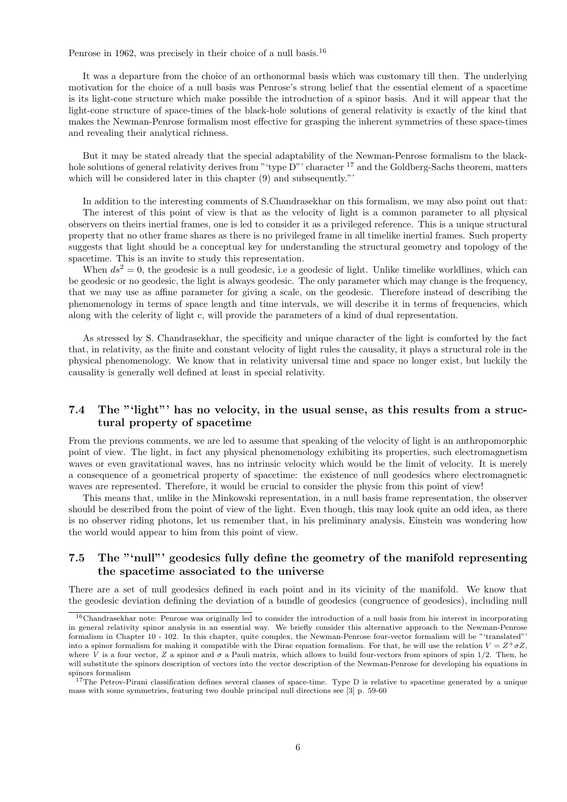Penrose in 1962, was precisely in their choice of a null basis.<sup>16</sup>

It was a departure from the choice of an orthonormal basis which was customary till then. The underlying motivation for the choice of a null basis was Penrose's strong belief that the essential element of a spacetime is its light-cone structure which make possible the introduction of a spinor basis. And it will appear that the light-cone structure of space-times of the black-hole solutions of general relativity is exactly of the kind that makes the Newman-Penrose formalism most effective for grasping the inherent symmetries of these space-times and revealing their analytical richness.

But it may be stated already that the special adaptability of the Newman-Penrose formalism to the blackhole solutions of general relativity derives from "type D"' character <sup>17</sup> and the Goldberg-Sachs theorem, matters which will be considered later in this chapter  $(9)$  and subsequently."'

In addition to the interesting comments of S.Chandrasekhar on this formalism, we may also point out that: The interest of this point of view is that as the velocity of light is a common parameter to all physical observers on theirs inertial frames, one is led to consider it as a privileged reference. This is a unique structural property that no other frame shares as there is no privileged frame in all timelike inertial frames. Such property suggests that light should be a conceptual key for understanding the structural geometry and topology of the spacetime. This is an invite to study this representation.

When  $ds^2 = 0$ , the geodesic is a null geodesic, i.e a geodesic of light. Unlike timelike worldlines, which can be geodesic or no geodesic, the light is always geodesic. The only parameter which may change is the frequency, that we may use as affine parameter for giving a scale, on the geodesic. Therefore instead of describing the phenomenology in terms of space length and time intervals, we will describe it in terms of frequencies, which along with the celerity of light c, will provide the parameters of a kind of dual representation.

As stressed by S. Chandrasekhar, the specificity and unique character of the light is comforted by the fact that, in relativity, as the finite and constant velocity of light rules the causality, it plays a structural role in the physical phenomenology. We know that in relativity universal time and space no longer exist, but luckily the causality is generally well defined at least in special relativity.

### 7.4 The "'light"' has no velocity, in the usual sense, as this results from a structural property of spacetime

From the previous comments, we are led to assume that speaking of the velocity of light is an anthropomorphic point of view. The light, in fact any physical phenomenology exhibiting its properties, such electromagnetism waves or even gravitational waves, has no intrinsic velocity which would be the limit of velocity. It is merely a consequence of a geometrical property of spacetime: the existence of null geodesics where electromagnetic waves are represented. Therefore, it would be crucial to consider the physic from this point of view!

This means that, unlike in the Minkowski representation, in a null basis frame representation, the observer should be described from the point of view of the light. Even though, this may look quite an odd idea, as there is no observer riding photons, let us remember that, in his preliminary analysis, Einstein was wondering how the world would appear to him from this point of view.

### 7.5 The "'null"' geodesics fully define the geometry of the manifold representing the spacetime associated to the universe

There are a set of null geodesics defined in each point and in its vicinity of the manifold. We know that the geodesic deviation defining the deviation of a bundle of geodesics (congruence of geodesics), including null

<sup>&</sup>lt;sup>16</sup>Chandrasekhar note: Penrose was originally led to consider the introduction of a null basis from his interest in incorporating in general relativity spinor analysis in an essential way. We briefly consider this alternative approach to the Newman-Penrose formalism in Chapter 10 - 102. In this chapter, quite complex, the Newman-Penrose four-vector formalism will be "'translated"' into a spinor formalism for making it compatible with the Dirac equation formalism. For that, he will use the relation  $V = Z^+ \sigma Z$ , where V is a four vector, Z a spinor and  $\sigma$  a Pauli matrix, which allows to build four-vectors from spinors of spin 1/2. Then, he will substitute the spinors description of vectors into the vector description of the Newman-Penrose for developing his equations in spinors formalism

<sup>&</sup>lt;sup>17</sup>The Petrov-Pirani classification defines several classes of space-time. Type D is relative to spacetime generated by a unique mass with some symmetries, featuring two double principal null directions see [3] p. 59-60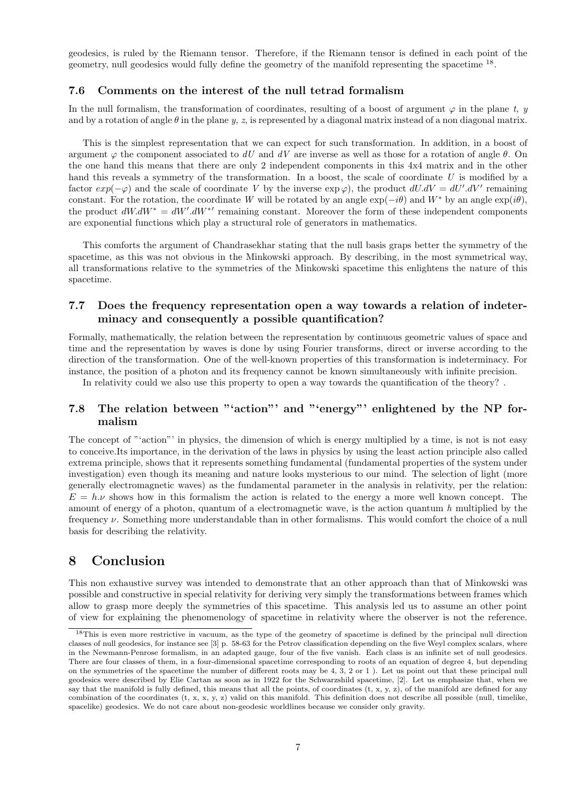geodesics, is ruled by the Riemann tensor. Therefore, if the Riemann tensor is defined in each point of the geometry, null geodesics would fully define the geometry of the manifold representing the spacetime <sup>18</sup>.

### 7.6 Comments on the interest of the null tetrad formalism

In the null formalism, the transformation of coordinates, resulting of a boost of argument  $\varphi$  in the plane t, y and by a rotation of angle  $\theta$  in the plane y, z, is represented by a diagonal matrix instead of a non diagonal matrix.

This is the simplest representation that we can expect for such transformation. In addition, in a boost of argument  $\varphi$  the component associated to dU and dV are inverse as well as those for a rotation of angle  $\theta$ . On the one hand this means that there are only 2 independent components in this 4x4 matrix and in the other hand this reveals a symmetry of the transformation. In a boost, the scale of coordinate  $U$  is modified by a factor  $exp(-\varphi)$  and the scale of coordinate V by the inverse  $exp(\varphi)$ , the product  $dU. dV = dU'. dV'$  remaining constant. For the rotation, the coordinate W will be rotated by an angle  $\exp(-i\theta)$  and W<sup>\*</sup> by an angle  $\exp(i\theta)$ , the product  $dW.dW^* = dW'.dW^{*'}$  remaining constant. Moreover the form of these independent components are exponential functions which play a structural role of generators in mathematics.

This comforts the argument of Chandrasekhar stating that the null basis graps better the symmetry of the spacetime, as this was not obvious in the Minkowski approach. By describing, in the most symmetrical way, all transformations relative to the symmetries of the Minkowski spacetime this enlightens the nature of this spacetime.

### 7.7 Does the frequency representation open a way towards a relation of indeterminacy and consequently a possible quantification?

Formally, mathematically, the relation between the representation by continuous geometric values of space and time and the representation by waves is done by using Fourier transforms, direct or inverse according to the direction of the transformation. One of the well-known properties of this transformation is indeterminacy. For instance, the position of a photon and its frequency cannot be known simultaneously with infinite precision.

In relativity could we also use this property to open a way towards the quantification of the theory? .

### 7.8 The relation between "'action"' and "'energy"' enlightened by the NP formalism

The concept of "'action"' in physics, the dimension of which is energy multiplied by a time, is not is not easy to conceive.Its importance, in the derivation of the laws in physics by using the least action principle also called extrema principle, shows that it represents something fundamental (fundamental properties of the system under investigation) even though its meaning and nature looks mysterious to our mind. The selection of light (more generally electromagnetic waves) as the fundamental parameter in the analysis in relativity, per the relation:  $E = h.\nu$  shows how in this formalism the action is related to the energy a more well known concept. The amount of energy of a photon, quantum of a electromagnetic wave, is the action quantum  $h$  multiplied by the frequency ν. Something more understandable than in other formalisms. This would comfort the choice of a null basis for describing the relativity.

### 8 Conclusion

This non exhaustive survey was intended to demonstrate that an other approach than that of Minkowski was possible and constructive in special relativity for deriving very simply the transformations between frames which allow to grasp more deeply the symmetries of this spacetime. This analysis led us to assume an other point of view for explaining the phenomenology of spacetime in relativity where the observer is not the reference.

 $18$ This is even more restrictive in vacuum, as the type of the geometry of spacetime is defined by the principal null direction classes of null geodesics, for instance see [3] p. 58-63 for the Petrov classification depending on the five Weyl complex scalars, where in the Newmann-Penrose formalism, in an adapted gauge, four of the five vanish. Each class is an infinite set of null geodesics. There are four classes of them, in a four-dimensional spacetime corresponding to roots of an equation of degree 4, but depending on the symmetries of the spacetime the number of different roots may be 4, 3, 2 or 1 ). Let us point out that these principal null geodesics were described by Elie Cartan as soon as in 1922 for the Schwarzshild spacetime, [2]. Let us emphasize that, when we say that the manifold is fully defined, this means that all the points, of coordinates  $(t, x, y, z)$ , of the manifold are defined for any combination of the coordinates  $(t, x, x, y, z)$  valid on this manifold. This definition does not describe all possible (null, timelike, spacelike) geodesics. We do not care about non-geodesic worldlines because we consider only gravity.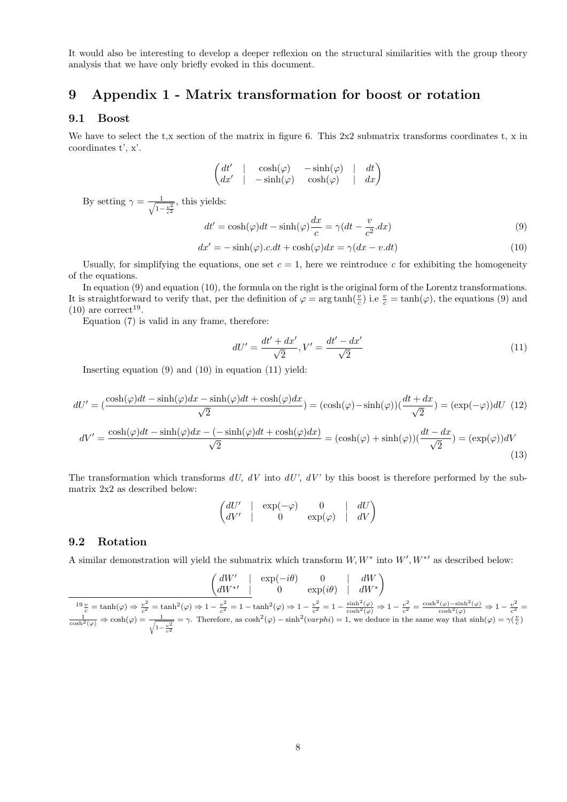It would also be interesting to develop a deeper reflexion on the structural similarities with the group theory analysis that we have only briefly evoked in this document.

# 9 Appendix 1 - Matrix transformation for boost or rotation

### 9.1 Boost

We have to select the t,x section of the matrix in figure 6. This  $2x2$  submatrix transforms coordinates t, x in coordinates t', x'.

$$
\begin{pmatrix} dt' & | & \cosh(\varphi) & -\sinh(\varphi) & | & dt \\ dx' & | & -\sinh(\varphi) & \cosh(\varphi) & | & dx \end{pmatrix}
$$

By setting  $\gamma = \frac{1}{\sqrt{1-\epsilon}}$  $1-\frac{v^2}{c^2}$ , this yields:

$$
dt' = \cosh(\varphi)dt - \sinh(\varphi)\frac{dx}{c} = \gamma(dt - \frac{v}{c^2}.dx)
$$
\n(9)

$$
dx' = -\sinh(\varphi).c.dt + \cosh(\varphi)dx = \gamma(dx - v.dt)
$$
\n(10)

Usually, for simplifying the equations, one set  $c = 1$ , here we reintroduce c for exhibiting the homogeneity of the equations.

In equation (9) and equation (10), the formula on the right is the original form of the Lorentz transformations. It is straightforward to verify that, per the definition of  $\varphi = \arg \tanh(\frac{v}{c})$  i.e  $\frac{v}{c} = \tanh(\varphi)$ , the equations (9) and  $(10)$  are correct<sup>19</sup>.

Equation (7) is valid in any frame, therefore:

$$
dU' = \frac{dt' + dx'}{\sqrt{2}}, V' = \frac{dt' - dx'}{\sqrt{2}}
$$
\n(11)

Inserting equation (9) and (10) in equation (11) yield:

$$
dU' = \left(\frac{\cosh(\varphi)dt - \sinh(\varphi)dx - \sinh(\varphi)dt + \cosh(\varphi)dx}{\sqrt{2}}\right) = \left(\cosh(\varphi) - \sinh(\varphi)\right)\left(\frac{dt + dx}{\sqrt{2}}\right) = \left(\exp(-\varphi)\right)dU \tag{12}
$$

$$
dV' = \frac{\cosh(\varphi)dt - \sinh(\varphi)dx - (-\sinh(\varphi)dt + \cosh(\varphi)dx)}{\sqrt{2}} = (\cosh(\varphi) + \sinh(\varphi))(\frac{dt - dx}{\sqrt{2}}) = (\exp(\varphi))dV
$$
\n(13)

The transformation which transforms  $dU$ ,  $dV$  into  $dU'$ ,  $dV'$  by this boost is therefore performed by the submatrix 2x2 as described below:

$$
\begin{pmatrix} dU' & | & \exp(-\varphi) & 0 & | & dU \\ dV' & | & 0 & \exp(\varphi) & | & dV \end{pmatrix}
$$

### 9.2 Rotation

A similar demonstration will yield the submatrix which transform  $W, W^*$  into  $W', W^{*\prime}$  as described below:

$$
\begin{pmatrix} dW' & | & \exp(-i\theta) & 0 & | & dW \\ dW^{*'} & | & 0 & \exp(i\theta) & | & dW^* \end{pmatrix}
$$

 $^{19}\frac{v}{c} = \tanh(\varphi) \Rightarrow \frac{v^2}{c^2}$  $\frac{v^2}{c^2} = \tanh^2(\varphi) \Rightarrow 1 - \frac{v^2}{c^2}$  $\frac{v^2}{c^2} = 1 - \tanh^2(\varphi) \Rightarrow 1 - \frac{v^2}{c^2}$  $\frac{v^2}{c^2} = 1 - \frac{\sinh^2(\varphi)}{\cosh^2(\varphi)} \Rightarrow 1 - \frac{v^2}{c^2}$  $\frac{v^2}{c^2} = \frac{\cosh^2(\varphi) - \sinh^2(\varphi)}{\cosh^2(\varphi)} \Rightarrow 1 - \frac{v^2}{c^2}$  $\frac{v}{c^2} =$  $\frac{1}{\cosh^2(\varphi)} \Rightarrow \cosh(\varphi) = \frac{1}{\sqrt{1 - \frac{v^2}{c^2}}}$ = γ. Therefore, as  $cosh^2(\varphi) - sinh^2(varphi) = 1$ , we deduce in the same way that  $sinh(\varphi) = \gamma(\frac{v}{c})$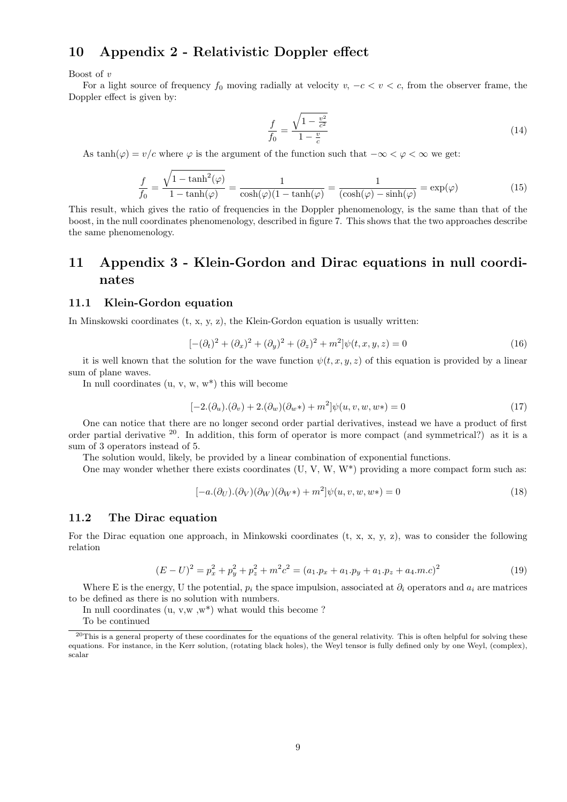## 10 Appendix 2 - Relativistic Doppler effect

Boost of v

For a light source of frequency  $f_0$  moving radially at velocity  $v, -c < v < c$ , from the observer frame, the Doppler effect is given by:

$$
\frac{f}{f_0} = \frac{\sqrt{1 - \frac{v^2}{c^2}}}{1 - \frac{v}{c}}
$$
\n(14)

As tanh( $\varphi$ ) = v/c where  $\varphi$  is the argument of the function such that  $-\infty < \varphi < \infty$  we get:

$$
\frac{f}{f_0} = \frac{\sqrt{1 - \tanh^2(\varphi)}}{1 - \tanh(\varphi)} = \frac{1}{\cosh(\varphi)(1 - \tanh(\varphi))} = \frac{1}{(\cosh(\varphi) - \sinh(\varphi))} = \exp(\varphi)
$$
\n(15)

This result, which gives the ratio of frequencies in the Doppler phenomenology, is the same than that of the boost, in the null coordinates phenomenology, described in figure 7. This shows that the two approaches describe the same phenomenology.

## 11 Appendix 3 - Klein-Gordon and Dirac equations in null coordinates

#### 11.1 Klein-Gordon equation

In Minskowski coordinates  $(t, x, y, z)$ , the Klein-Gordon equation is usually written:

$$
[-(\partial_t)^2 + (\partial_x)^2 + (\partial_y)^2 + (\partial_z)^2 + m^2]\psi(t, x, y, z) = 0
$$
\n(16)

it is well known that the solution for the wave function  $\psi(t, x, y, z)$  of this equation is provided by a linear sum of plane waves.

In null coordinates  $(u, v, w, w^*)$  this will become

$$
[-2.(\partial_u).(\partial_v) + 2.(\partial_w)(\partial_w*) + m^2]\psi(u,v,w,w*) = 0
$$
\n(17)

One can notice that there are no longer second order partial derivatives, instead we have a product of first order partial derivative  $^{20}$ . In addition, this form of operator is more compact (and symmetrical?) as it is a sum of 3 operators instead of 5.

The solution would, likely, be provided by a linear combination of exponential functions.

One may wonder whether there exists coordinates  $(U, V, W, W^*)$  providing a more compact form such as:

$$
[-a.(\partial_U).(\partial_V)(\partial_W)(\partial_W*) + m^2]\psi(u,v,w,w*) = 0
$$
\n(18)

### 11.2 The Dirac equation

For the Dirac equation one approach, in Minkowski coordinates  $(t, x, x, y, z)$ , was to consider the following relation

$$
(E-U)^2 = p_x^2 + p_y^2 + p_z^2 + m^2c^2 = (a_1.p_x + a_1.p_y + a_1.p_z + a_4.m.c)^2
$$
\n(19)

Where E is the energy, U the potential,  $p_i$  the space impulsion, associated at  $\partial_i$  operators and  $a_i$  are matrices to be defined as there is no solution with numbers.

In null coordinates  $(u, v, w, w^*)$  what would this become?

To be continued

<sup>&</sup>lt;sup>20</sup>This is a general property of these coordinates for the equations of the general relativity. This is often helpful for solving these equations. For instance, in the Kerr solution, (rotating black holes), the Weyl tensor is fully defined only by one Weyl, (complex), scalar